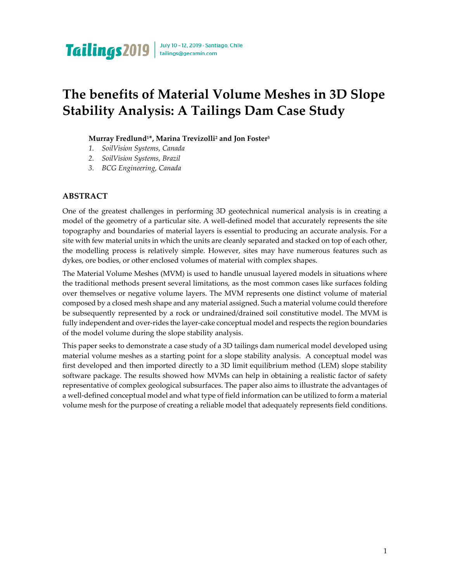# **The benefits of Material Volume Meshes in 3D Slope Stability Analysis: A Tailings Dam Case Study**

#### **Murray Fredlund1\*, Marina Trevizolli<sup>2</sup> and Jon Foster<sup>3</sup>**

- *1. SoilVision Systems, Canada*
- *2. SoilVision Systems, Brazil*
- *3. BCG Engineering, Canada*

#### **ABSTRACT**

One of the greatest challenges in performing 3D geotechnical numerical analysis is in creating a model of the geometry of a particular site. A well-defined model that accurately represents the site topography and boundaries of material layers is essential to producing an accurate analysis. For a site with few material units in which the units are cleanly separated and stacked on top of each other, the modelling process is relatively simple. However, sites may have numerous features such as dykes, ore bodies, or other enclosed volumes of material with complex shapes.

The Material Volume Meshes (MVM) is used to handle unusual layered models in situations where the traditional methods present several limitations, as the most common cases like surfaces folding over themselves or negative volume layers. The MVM represents one distinct volume of material composed by a closed mesh shape and any material assigned. Such a material volume could therefore be subsequently represented by a rock or undrained/drained soil constitutive model. The MVM is fully independent and over-rides the layer-cake conceptual model and respects the region boundaries of the model volume during the slope stability analysis.

This paper seeks to demonstrate a case study of a 3D tailings dam numerical model developed using material volume meshes as a starting point for a slope stability analysis. A conceptual model was first developed and then imported directly to a 3D limit equilibrium method (LEM) slope stability software package. The results showed how MVMs can help in obtaining a realistic factor of safety representative of complex geological subsurfaces. The paper also aims to illustrate the advantages of a well-defined conceptual model and what type of field information can be utilized to form a material volume mesh for the purpose of creating a reliable model that adequately represents field conditions.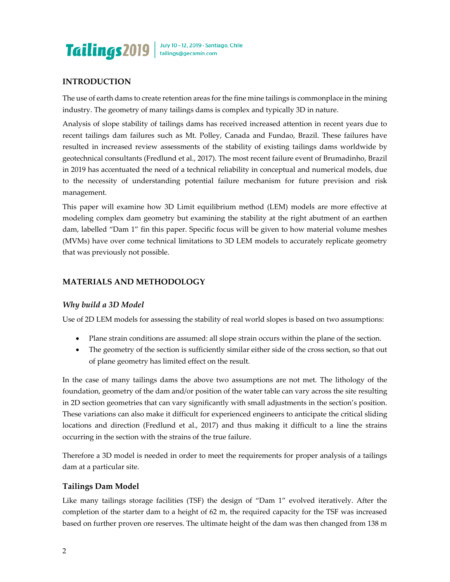

#### **INTRODUCTION**

The use of earth dams to create retention areas for the fine mine tailings is commonplace in the mining industry. The geometry of many tailings dams is complex and typically 3D in nature.

Analysis of slope stability of tailings dams has received increased attention in recent years due to recent tailings dam failures such as Mt. Polley, Canada and Fundao, Brazil. These failures have resulted in increased review assessments of the stability of existing tailings dams worldwide by geotechnical consultants (Fredlund et al., 2017). The most recent failure event of Brumadinho, Brazil in 2019 has accentuated the need of a technical reliability in conceptual and numerical models, due to the necessity of understanding potential failure mechanism for future prevision and risk management.

This paper will examine how 3D Limit equilibrium method (LEM) models are more effective at modeling complex dam geometry but examining the stability at the right abutment of an earthen dam, labelled "Dam 1" fin this paper. Specific focus will be given to how material volume meshes (MVMs) have over come technical limitations to 3D LEM models to accurately replicate geometry that was previously not possible.

#### **MATERIALS AND METHODOLOGY**

#### *Why build a 3D Model*

Use of 2D LEM models for assessing the stability of real world slopes is based on two assumptions:

- Plane strain conditions are assumed: all slope strain occurs within the plane of the section.
- The geometry of the section is sufficiently similar either side of the cross section, so that out of plane geometry has limited effect on the result.

In the case of many tailings dams the above two assumptions are not met. The lithology of the foundation, geometry of the dam and/or position of the water table can vary across the site resulting in 2D section geometries that can vary significantly with small adjustments in the section's position. These variations can also make it difficult for experienced engineers to anticipate the critical sliding locations and direction (Fredlund et al., 2017) and thus making it difficult to a line the strains occurring in the section with the strains of the true failure.

Therefore a 3D model is needed in order to meet the requirements for proper analysis of a tailings dam at a particular site.

#### **Tailings Dam Model**

Like many tailings storage facilities (TSF) the design of "Dam 1" evolved iteratively. After the completion of the starter dam to a height of 62 m, the required capacity for the TSF was increased based on further proven ore reserves. The ultimate height of the dam was then changed from 138 m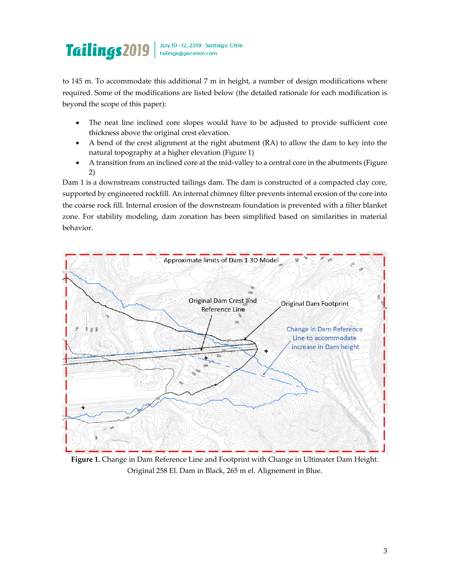# July 10-12, 2019 · Santiago, Chile Tailings 2019 | July 10-12, 2019 - Santia

to 145 m. To accommodate this additional 7 m in height, a number of design modifications where required. Some of the modifications are listed below (the detailed rationale for each modification is beyond the scope of this paper):

- The neat line inclined core slopes would have to be adjusted to provide sufficient core thickness above the original crest elevation.
- A bend of the crest alignment at the right abutment (RA) to allow the dam to key into the natural topography at a higher elevation (Figure 1)
- A transition from an inclined core at the mid-valley to a central core in the abutments (Figure 2)

Dam 1 is a downstream constructed tailings dam. The dam is constructed of a compacted clay core, supported by engineered rockfill. An internal chimney filter prevents internal erosion of the core into the coarse rock fill. Internal erosion of the downstream foundation is prevented with a filter blanket zone. For stability modeling, dam zonation has been simplified based on similarities in material behavior.



**Figure 1.** Change in Dam Reference Line and Footprint with Change in Ultimater Dam Height. Original 258 El. Dam in Black, 265 m el. Alignement in Blue.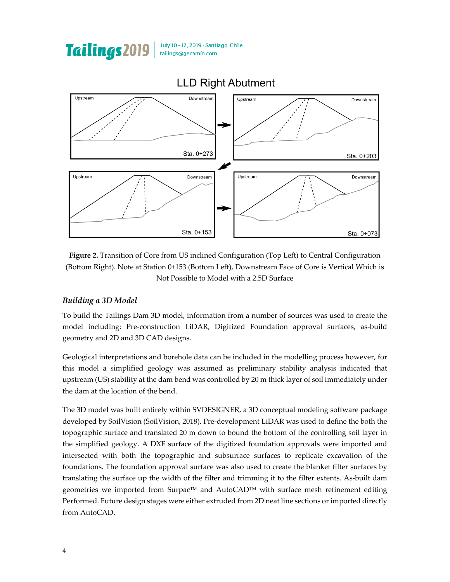

July 10-12, 2019 · Santiago, Chile

tailings@gecamin.com

**Figure 2.** Transition of Core from US inclined Configuration (Top Left) to Central Configuration (Bottom Right). Note at Station 0+153 (Bottom Left), Downstream Face of Core is Vertical Which is Not Possible to Model with a 2.5D Surface

## *Building a 3D Model*

Tailings2019

To build the Tailings Dam 3D model, information from a number of sources was used to create the model including: Pre-construction LiDAR, Digitized Foundation approval surfaces, as-build geometry and 2D and 3D CAD designs.

Geological interpretations and borehole data can be included in the modelling process however, for this model a simplified geology was assumed as preliminary stability analysis indicated that upstream (US) stability at the dam bend was controlled by 20 m thick layer of soil immediately under the dam at the location of the bend.

The 3D model was built entirely within SVDESIGNER, a 3D conceptual modeling software package developed by SoilVision (SoilVision, 2018). Pre-development LiDAR was used to define the both the topographic surface and translated 20 m down to bound the bottom of the controlling soil layer in the simplified geology. A DXF surface of the digitized foundation approvals were imported and intersected with both the topographic and subsurface surfaces to replicate excavation of the foundations. The foundation approval surface was also used to create the blanket filter surfaces by translating the surface up the width of the filter and trimming it to the filter extents. As-built dam geometries we imported from Surpac™ and AutoCAD™ with surface mesh refinement editing Performed. Future design stages were either extruded from 2D neat line sections or imported directly from AutoCAD.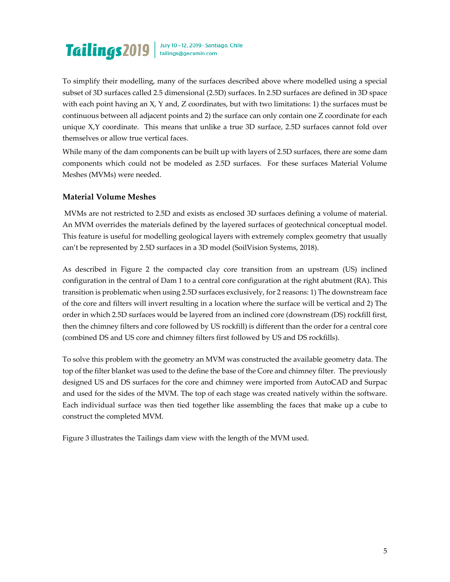# Tailings 2019 | July 10-12, 2019 - Santiago, Chile

To simplify their modelling, many of the surfaces described above where modelled using a special subset of 3D surfaces called 2.5 dimensional (2.5D) surfaces. In 2.5D surfaces are defined in 3D space with each point having an  $X$ ,  $Y$  and,  $Z$  coordinates, but with two limitations: 1) the surfaces must be continuous between all adjacent points and 2) the surface can only contain one Z coordinate for each unique X,Y coordinate. This means that unlike a true 3D surface, 2.5D surfaces cannot fold over themselves or allow true vertical faces.

While many of the dam components can be built up with layers of 2.5D surfaces, there are some dam components which could not be modeled as 2.5D surfaces. For these surfaces Material Volume Meshes (MVMs) were needed.

## **Material Volume Meshes**

MVMs are not restricted to 2.5D and exists as enclosed 3D surfaces defining a volume of material. An MVM overrides the materials defined by the layered surfaces of geotechnical conceptual model. This feature is useful for modelling geological layers with extremely complex geometry that usually can't be represented by 2.5D surfaces in a 3D model (SoilVision Systems, 2018).

As described in Figure 2 the compacted clay core transition from an upstream (US) inclined configuration in the central of Dam 1 to a central core configuration at the right abutment (RA). This transition is problematic when using 2.5D surfaces exclusively, for 2 reasons: 1) The downstream face of the core and filters will invert resulting in a location where the surface will be vertical and 2) The order in which 2.5D surfaces would be layered from an inclined core (downstream (DS) rockfill first, then the chimney filters and core followed by US rockfill) is different than the order for a central core (combined DS and US core and chimney filters first followed by US and DS rockfills).

To solve this problem with the geometry an MVM was constructed the available geometry data. The top of the filter blanket was used to the define the base of the Core and chimney filter. The previously designed US and DS surfaces for the core and chimney were imported from AutoCAD and Surpac and used for the sides of the MVM. The top of each stage was created natively within the software. Each individual surface was then tied together like assembling the faces that make up a cube to construct the completed MVM.

Figure 3 illustrates the Tailings dam view with the length of the MVM used.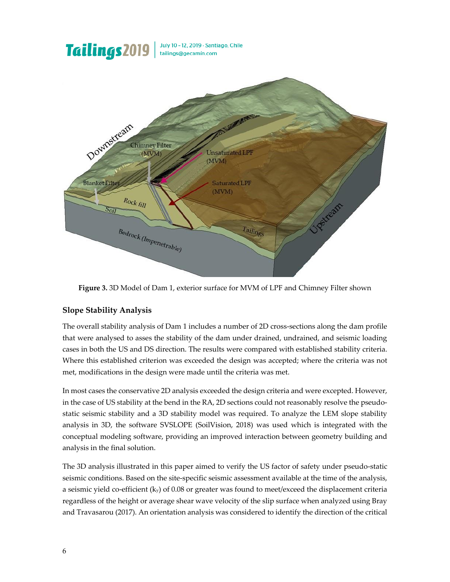

**Figure 3.** 3D Model of Dam 1, exterior surface for MVM of LPF and Chimney Filter shown

## **Slope Stability Analysis**

The overall stability analysis of Dam 1 includes a number of 2D cross-sections along the dam profile that were analysed to asses the stability of the dam under drained, undrained, and seismic loading cases in both the US and DS direction. The results were compared with established stability criteria. Where this established criterion was exceeded the design was accepted; where the criteria was not met, modifications in the design were made until the criteria was met.

In most cases the conservative 2D analysis exceeded the design criteria and were excepted. However, in the case of US stability at the bend in the RA, 2D sections could not reasonably resolve the pseudostatic seismic stability and a 3D stability model was required. To analyze the LEM slope stability analysis in 3D, the software SVSLOPE (SoilVision, 2018) was used which is integrated with the conceptual modeling software, providing an improved interaction between geometry building and analysis in the final solution.

The 3D analysis illustrated in this paper aimed to verify the US factor of safety under pseudo-static seismic conditions. Based on the site-specific seismic assessment available at the time of the analysis, a seismic yield co-efficient  $(k_y)$  of 0.08 or greater was found to meet/exceed the displacement criteria regardless of the height or average shear wave velocity of the slip surface when analyzed using Bray and Travasarou (2017). An orientation analysis was considered to identify the direction of the critical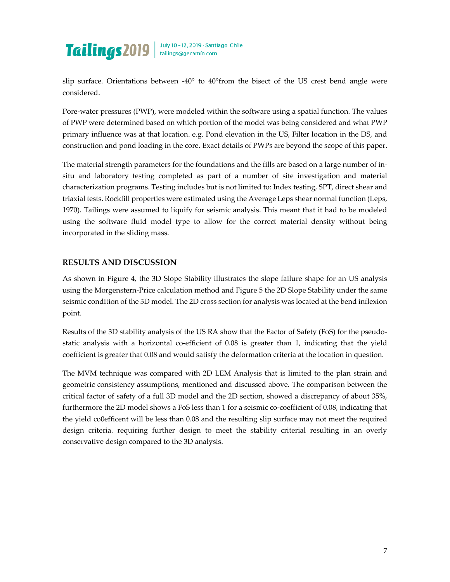

slip surface. Orientations between  $-40^{\circ}$  to  $40^{\circ}$ from the bisect of the US crest bend angle were considered.

Pore-water pressures (PWP), were modeled within the software using a spatial function. The values of PWP were determined based on which portion of the model was being considered and what PWP primary influence was at that location. e.g. Pond elevation in the US, Filter location in the DS, and construction and pond loading in the core. Exact details of PWPs are beyond the scope of this paper.

The material strength parameters for the foundations and the fills are based on a large number of insitu and laboratory testing completed as part of a number of site investigation and material characterization programs. Testing includes but is not limited to: Index testing, SPT, direct shear and triaxial tests. Rockfill properties were estimated using the Average Leps shear normal function (Leps, 1970). Tailings were assumed to liquify for seismic analysis. This meant that it had to be modeled using the software fluid model type to allow for the correct material density without being incorporated in the sliding mass.

## **RESULTS AND DISCUSSION**

As shown in Figure 4, the 3D Slope Stability illustrates the slope failure shape for an US analysis using the Morgenstern-Price calculation method and Figure 5 the 2D Slope Stability under the same seismic condition of the 3D model. The 2D cross section for analysis was located at the bend inflexion point.

Results of the 3D stability analysis of the US RA show that the Factor of Safety (FoS) for the pseudostatic analysis with a horizontal co-efficient of 0.08 is greater than 1, indicating that the yield coefficient is greater that 0.08 and would satisfy the deformation criteria at the location in question.

The MVM technique was compared with 2D LEM Analysis that is limited to the plan strain and geometric consistency assumptions, mentioned and discussed above. The comparison between the critical factor of safety of a full 3D model and the 2D section, showed a discrepancy of about 35%, furthermore the 2D model shows a FoS less than 1 for a seismic co-coefficient of 0.08, indicating that the yield co0efficent will be less than 0.08 and the resulting slip surface may not meet the required design criteria. requiring further design to meet the stability criterial resulting in an overly conservative design compared to the 3D analysis.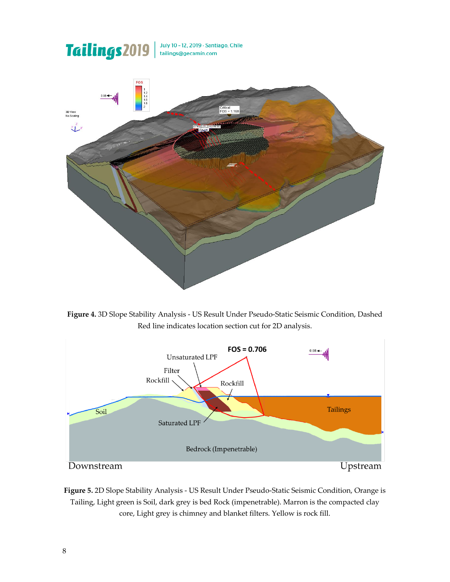

**Figure 4.** 3D Slope Stability Analysis - US Result Under Pseudo-Static Seismic Condition, Dashed Red line indicates location section cut for 2D analysis.



**Figure 5.** 2D Slope Stability Analysis - US Result Under Pseudo-Static Seismic Condition, Orange is Tailing, Light green is Soil, dark grey is bed Rock (impenetrable). Marron is the compacted clay core, Light grey is chimney and blanket filters. Yellow is rock fill.